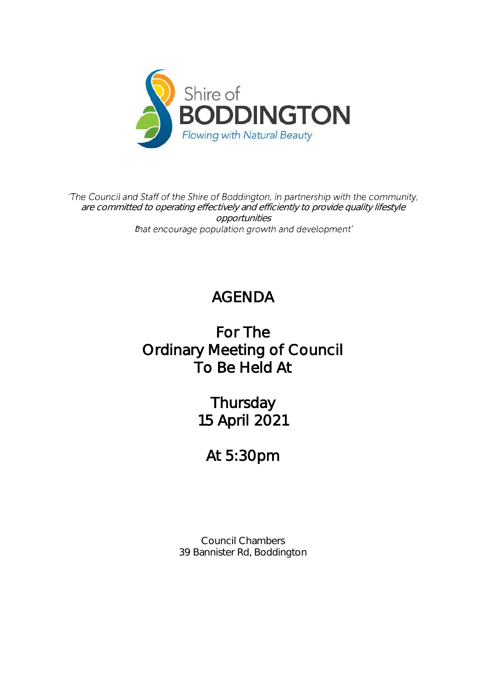

'The Council and Staff of the Shire of Boddington, in partnership with the community, are committed to operating effectively and efficiently to provide quality lifestyle opportunities that encourage population growth and development'

# AGENDA

# For The Ordinary Meeting of Council To Be Held At

Thursday 15 April 2021

# At 5:30pm

Council Chambers 39 Bannister Rd, Boddington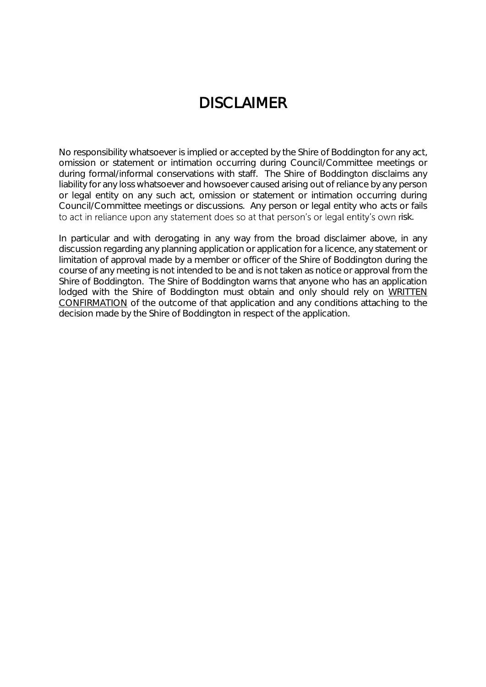# DISCI AIMER

No responsibility whatsoever is implied or accepted by the Shire of Boddington for any act, omission or statement or intimation occurring during Council/Committee meetings or during formal/informal conservations with staff. The Shire of Boddington disclaims any liability for any loss whatsoever and howsoever caused arising out of reliance by any person or legal entity on any such act, omission or statement or intimation occurring during Council/Committee meetings or discussions. Any person or legal entity who acts or fails to act in reliance upon any statement does so at that person's or legal entity's own risk.

In particular and with derogating in any way from the broad disclaimer above, in any discussion regarding any planning application or application for a licence, any statement or limitation of approval made by a member or officer of the Shire of Boddington during the course of any meeting is not intended to be and is not taken as notice or approval from the Shire of Boddington. The Shire of Boddington warns that anyone who has an application lodged with the Shire of Boddington must obtain and only should rely on WRITTEN CONFIRMATION of the outcome of that application and any conditions attaching to the decision made by the Shire of Boddington in respect of the application.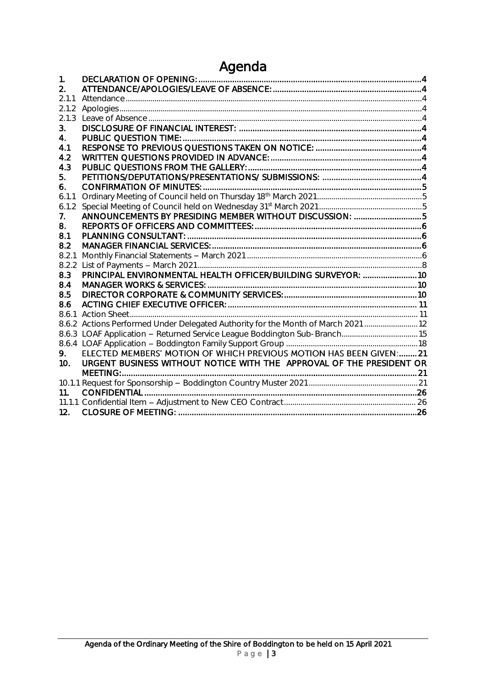## Agenda

| 1.              |                                                                                   |  |
|-----------------|-----------------------------------------------------------------------------------|--|
| 2.              |                                                                                   |  |
| 2.1.1           |                                                                                   |  |
| 2.1.2           |                                                                                   |  |
| 2.1.3           |                                                                                   |  |
| 3.              |                                                                                   |  |
| 4.              |                                                                                   |  |
| 4.1             |                                                                                   |  |
| 4.2             |                                                                                   |  |
| 4.3             |                                                                                   |  |
| 5.              |                                                                                   |  |
| 6.              |                                                                                   |  |
| 6.1.1           |                                                                                   |  |
| 6.1.2           |                                                                                   |  |
| 7.              | ANNOUNCEMENTS BY PRESIDING MEMBER WITHOUT DISCUSSION: 5                           |  |
| 8.              |                                                                                   |  |
| 8.1             |                                                                                   |  |
| 8.2             |                                                                                   |  |
| 8.2.1           |                                                                                   |  |
| 8.2.2           |                                                                                   |  |
| 8.3             | PRINCIPAL ENVIRONMENTAL HEALTH OFFICER/BUILDING SURVEYOR:  10                     |  |
| 8.4             |                                                                                   |  |
| 8.5             |                                                                                   |  |
| 8.6             |                                                                                   |  |
| 8.6.1           |                                                                                   |  |
|                 | 8.6.2 Actions Performed Under Delegated Authority for the Month of March 2021  12 |  |
|                 | 8.6.3 LOAF Application - Returned Service League Boddington Sub-Branch15          |  |
|                 |                                                                                   |  |
| 9.              | ELECTED MEMBERS' MOTION OF WHICH PREVIOUS MOTION HAS BEEN GIVEN:  21              |  |
| 10 <sub>1</sub> | URGENT BUSINESS WITHOUT NOTICE WITH THE APPROVAL OF THE PRESIDENT OR              |  |
|                 |                                                                                   |  |
|                 |                                                                                   |  |
| 11.             |                                                                                   |  |
|                 |                                                                                   |  |
| 12.             |                                                                                   |  |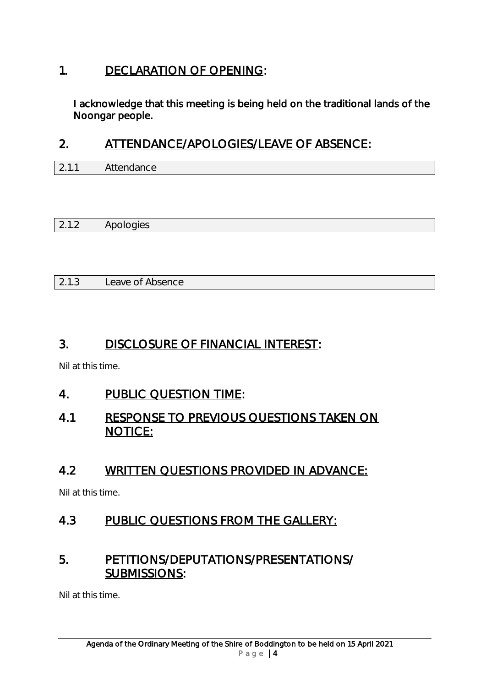## <span id="page-3-0"></span>1. DECLARATION OF OPENING:

I acknowledge that this meeting is being held on the traditional lands of the Noongar people.

## <span id="page-3-1"></span>2. ATTENDANCE/APOLOGIES/LEAVE OF ABSENCE:

<span id="page-3-2"></span>

| $\sim$ 4 4 | Attendance |  |  |
|------------|------------|--|--|

<span id="page-3-3"></span>

|  | $\sqrt{2}$<br>_<br>$- \cdot \cdot -$ |
|--|--------------------------------------|
|--|--------------------------------------|

<span id="page-3-4"></span>

| 2.1.3 | Leave of Absence |  |
|-------|------------------|--|

## <span id="page-3-5"></span>3. DISCLOSURE OF FINANCIAL INTEREST:

Nil at this time.

## <span id="page-3-6"></span>4. PUBLIC QUESTION TIME:

## <span id="page-3-7"></span>4.1 RESPONSE TO PREVIOUS QUESTIONS TAKEN ON NOTICE:

## <span id="page-3-8"></span>4.2 WRITTEN QUESTIONS PROVIDED IN ADVANCE:

Nil at this time.

## <span id="page-3-9"></span>4.3 PUBLIC QUESTIONS FROM THE GALLERY:

## <span id="page-3-10"></span>5. PETITIONS/DEPUTATIONS/PRESENTATIONS/ SUBMISSIONS:

Nil at this time.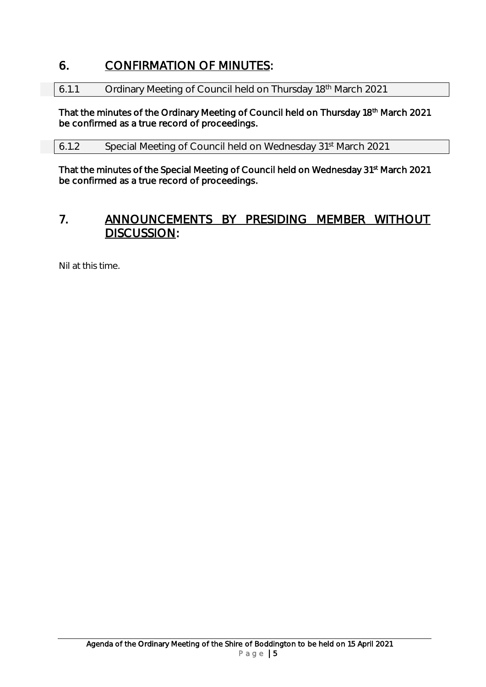## <span id="page-4-0"></span>6. CONFIRMATION OF MINUTES:

<span id="page-4-1"></span>6.1.1 Ordinary Meeting of Council held on Thursday 18th March 2021

That the minutes of the Ordinary Meeting of Council held on Thursday 18<sup>th</sup> March 2021 be confirmed as a true record of proceedings.

<span id="page-4-2"></span>6.1.2 Special Meeting of Council held on Wednesday 31st March 2021

That the minutes of the Special Meeting of Council held on Wednesday 31<sup>st</sup> March 2021 be confirmed as a true record of proceedings.

## <span id="page-4-3"></span>7. ANNOUNCEMENTS BY PRESIDING MEMBER WITHOUT DISCUSSION:

Nil at this time.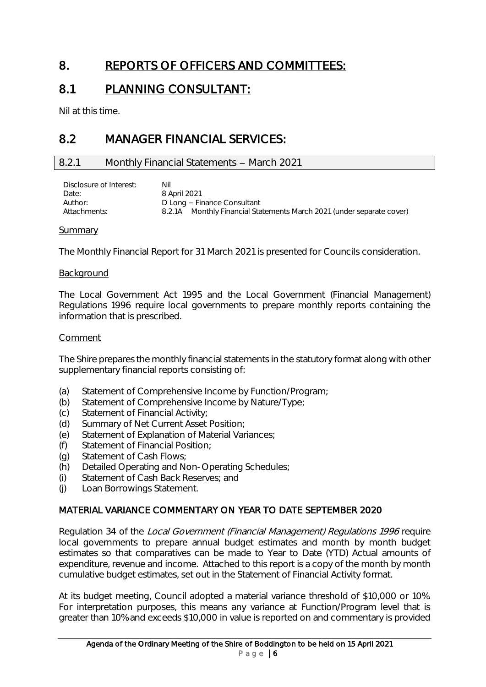## <span id="page-5-0"></span>8. REPORTS OF OFFICERS AND COMMITTEES:

## <span id="page-5-1"></span>8.1 PLANNING CONSULTANT:

Nil at this time.

## <span id="page-5-2"></span>8.2 MANAGER FINANCIAL SERVICES:

#### <span id="page-5-3"></span>8.2.1 Monthly Financial Statements - March 2021

| Disclosure of Interest: | Nil                                                                   |
|-------------------------|-----------------------------------------------------------------------|
| Date:                   | 8 April 2021                                                          |
| Author:                 | D Long – Finance Consultant                                           |
| Attachments:            | 8.2.1A Monthly Financial Statements March 2021 (under separate cover) |
|                         |                                                                       |

#### Summary

The Monthly Financial Report for 31 March 2021 is presented for Councils consideration.

#### Background

The Local Government Act 1995 and the Local Government (Financial Management) Regulations 1996 require local governments to prepare monthly reports containing the information that is prescribed.

#### Comment

The Shire prepares the monthly financial statements in the statutory format along with other supplementary financial reports consisting of:

- (a) Statement of Comprehensive Income by Function/Program;
- (b) Statement of Comprehensive Income by Nature/Type;
- (c) Statement of Financial Activity;
- (d) Summary of Net Current Asset Position;
- (e) Statement of Explanation of Material Variances;
- (f) Statement of Financial Position;
- (g) Statement of Cash Flows;
- (h) Detailed Operating and Non-Operating Schedules;
- (i) Statement of Cash Back Reserves; and
- (j) Loan Borrowings Statement.

#### MATERIAL VARIANCE COMMENTARY ON YEAR TO DATE SEPTEMBER 2020

Regulation 34 of the Local Government (Financial Management) Regulations 1996 require local governments to prepare annual budget estimates and month by month budget estimates so that comparatives can be made to Year to Date (YTD) Actual amounts of expenditure, revenue and income. Attached to this report is a copy of the month by month cumulative budget estimates, set out in the Statement of Financial Activity format.

At its budget meeting, Council adopted a material variance threshold of \$10,000 or 10%. For interpretation purposes, this means any variance at Function/Program level that is greater than 10% and exceeds \$10,000 in value is reported on and commentary is provided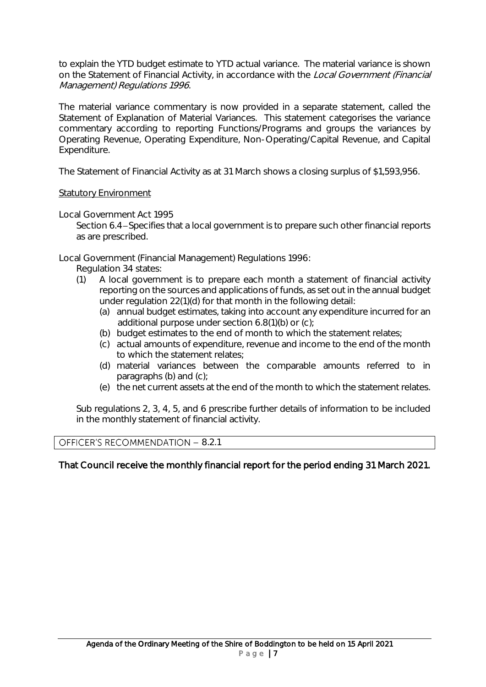to explain the YTD budget estimate to YTD actual variance. The material variance is shown on the Statement of Financial Activity, in accordance with the Local Government (Financial Management) Regulations 1996.

The material variance commentary is now provided in a separate statement, called the Statement of Explanation of Material Variances. This statement categorises the variance commentary according to reporting Functions/Programs and groups the variances by Operating Revenue, Operating Expenditure, Non-Operating/Capital Revenue, and Capital Expenditure.

The Statement of Financial Activity as at 31 March shows a closing surplus of \$1,593,956.

#### Statutory Environment

Local Government Act 1995

Section 6.4-Specifies that a local government is to prepare such other financial reports as are prescribed.

Local Government (Financial Management) Regulations 1996:

- Regulation 34 states:
- (1) A local government is to prepare each month a statement of financial activity reporting on the sources and applications of funds, as set out in the annual budget under regulation 22(1)(d) for that month in the following detail:
	- (a) annual budget estimates, taking into account any expenditure incurred for an additional purpose under section 6.8(1)(b) or (c);
	- (b) budget estimates to the end of month to which the statement relates;
	- (c) actual amounts of expenditure, revenue and income to the end of the month to which the statement relates;
	- (d) material variances between the comparable amounts referred to in paragraphs (b) and (c);
	- (e) the net current assets at the end of the month to which the statement relates.

Sub regulations 2, 3, 4, 5, and 6 prescribe further details of information to be included in the monthly statement of financial activity.

#### OFFICER'S RECOMMENDATION - 8.2.1

#### That Council receive the monthly financial report for the period ending 31 March 2021.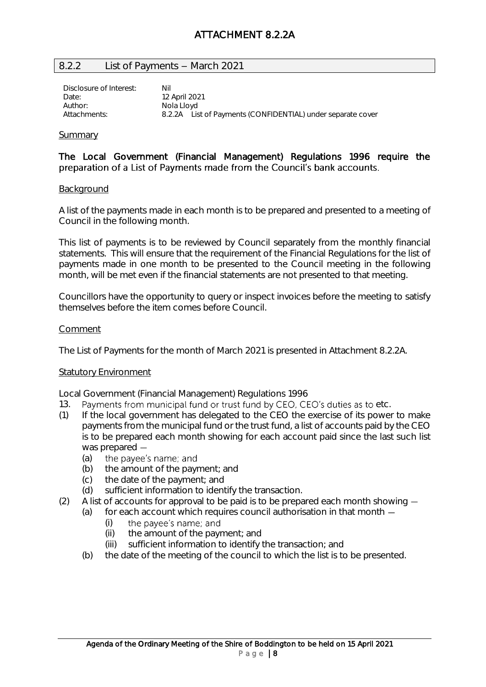#### <span id="page-7-0"></span>8.2.2 List of Payments - March 2021

Disclosure of Interest: Nil Date: 12 April 2021<br>Author: Nota Hovd Nola Lloyd Attachments: 8.2.2A List of Payments (CONFIDENTIAL) under separate cover

#### Summary

#### The Local Government (Financial Management) Regulations 1996 require the preparation of a List of Payments made from the Council's bank accounts.

#### Background

A list of the payments made in each month is to be prepared and presented to a meeting of Council in the following month.

This list of payments is to be reviewed by Council separately from the monthly financial statements. This will ensure that the requirement of the Financial Regulations for the list of payments made in one month to be presented to the Council meeting in the following month, will be met even if the financial statements are not presented to that meeting.

Councillors have the opportunity to query or inspect invoices before the meeting to satisfy themselves before the item comes before Council.

#### Comment

The List of Payments for the month of March 2021 is presented in Attachment 8.2.2A.

#### Statutory Environment

Local Government (Financial Management) Regulations 1996

- 13. Payments from municipal fund or trust fund by CEO, CEO's duties as to etc.
- (1) If the local government has delegated to the CEO the exercise of its power to make payments from the municipal fund or the trust fund, a list of accounts paid by the CEO is to be prepared each month showing for each account paid since the last such list was prepared -
	- (a) the payee's name; and
	- (b) the amount of the payment; and
	- (c) the date of the payment; and
	- (d) sufficient information to identify the transaction.
- (2) A list of accounts for approval to be paid is to be prepared each month showing  $-$ 
	- (a) for each account which requires council authorisation in that month
		- the payee's name; and (i)
		- (ii) the amount of the payment; and
		- (iii) sufficient information to identify the transaction; and
	- (b) the date of the meeting of the council to which the list is to be presented.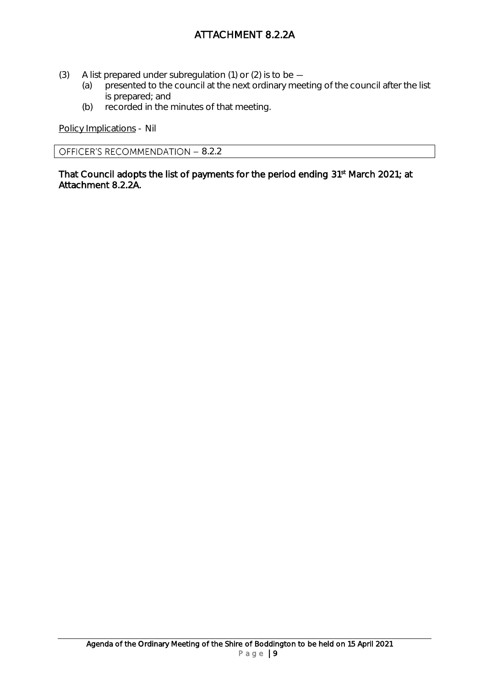## ATTACHMENT 8.2.2A

- (3) A list prepared under subregulation (1) or (2) is to be  $-$ 
	- (a) presented to the council at the next ordinary meeting of the council after the list is prepared; and
	- (b) recorded in the minutes of that meeting.

Policy Implications - Nil

OFFICER'S RECOMMENDATION - 8.2.2

That Council adopts the list of payments for the period ending 31<sup>st</sup> March 2021; at Attachment 8.2.2A.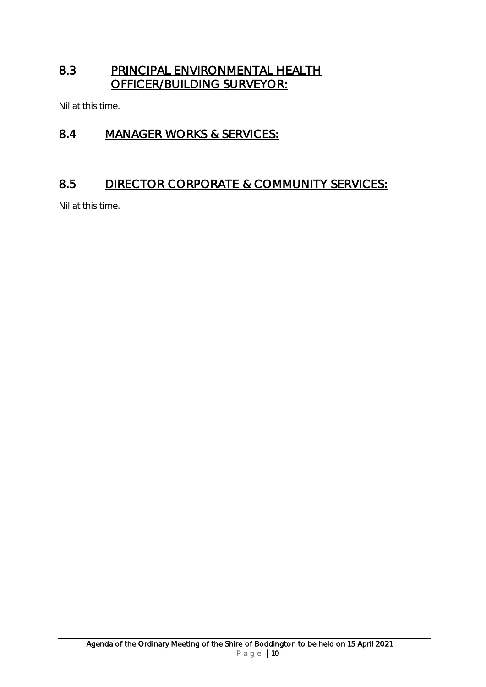## <span id="page-9-0"></span>8.3 PRINCIPAL ENVIRONMENTAL HEALTH OFFICER/BUILDING SURVEYOR:

Nil at this time.

## <span id="page-9-1"></span>8.4 MANAGER WORKS & SERVICES:

## <span id="page-9-2"></span>8.5 DIRECTOR CORPORATE & COMMUNITY SERVICES:

Nil at this time.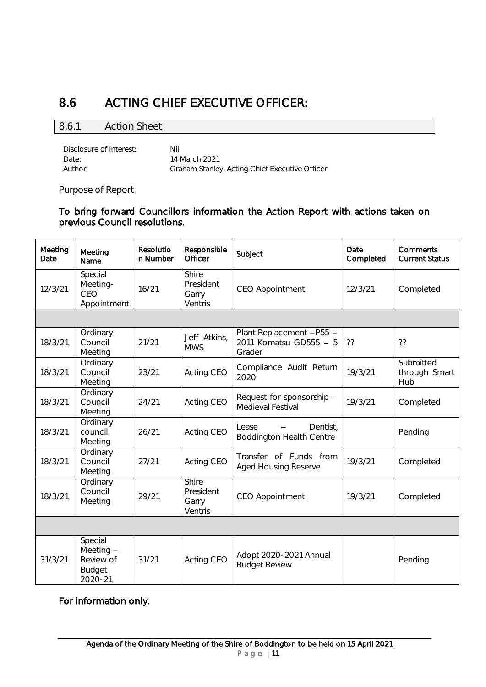## <span id="page-10-0"></span>8.6 ACTING CHIEF EXECUTIVE OFFICER:

#### <span id="page-10-1"></span>8.6.1 Action Sheet

Disclosure of Interest: Nil Date: 14 March 2021<br>
Author: 67 Graham Stanley Graham Stanley, Acting Chief Executive Officer

#### Purpose of Report

To bring forward Councillors information the Action Report with actions taken on previous Council resolutions.

| Meeting<br>Date | Meeting<br>Name                                               | Resolutio<br>n Number | Responsible<br>Officer                 | Subject                                                      | Date<br>Completed | Comments<br><b>Current Status</b> |
|-----------------|---------------------------------------------------------------|-----------------------|----------------------------------------|--------------------------------------------------------------|-------------------|-----------------------------------|
| 12/3/21         | Special<br>Meeting-<br>CEO<br>Appointment                     | 16/21                 | Shire<br>President<br>Garry<br>Ventris | <b>CEO Appointment</b>                                       | 12/3/21           | Completed                         |
|                 |                                                               |                       |                                        |                                                              |                   |                                   |
| 18/3/21         | Ordinary<br>Council<br>Meeting                                | 21/21                 | Jeff Atkins,<br><b>MWS</b>             | Plant Replacement -P55 -<br>2011 Komatsu GD555 - 5<br>Grader | ??                | ??                                |
| 18/3/21         | Ordinary<br>Council<br>Meeting                                | 23/21                 | Acting CEO                             | Compliance Audit Return<br>2020                              | 19/3/21           | Submitted<br>through Smart<br>Hub |
| 18/3/21         | Ordinary<br>Council<br>Meeting                                | 24/21                 | Acting CEO                             | Request for sponsorship -<br>Medieval Festival               | 19/3/21           | Completed                         |
| 18/3/21         | Ordinary<br>council<br>Meeting                                | 26/21                 | Acting CEO                             | Lease<br>Dentist.<br><b>Boddington Health Centre</b>         |                   | Pending                           |
| 18/3/21         | Ordinary<br>Council<br>Meeting                                | 27/21                 | Acting CEO                             | Transfer of Funds from<br><b>Aged Housing Reserve</b>        | 19/3/21           | Completed                         |
| 18/3/21         | Ordinary<br>Council<br>Meeting                                | 29/21                 | Shire<br>President<br>Garry<br>Ventris | <b>CEO Appointment</b>                                       | 19/3/21           | Completed                         |
|                 |                                                               |                       |                                        |                                                              |                   |                                   |
| 31/3/21         | Special<br>Meeting -<br>Review of<br><b>Budget</b><br>2020-21 | 31/21                 | Acting CEO                             | Adopt 2020-2021 Annual<br><b>Budget Review</b>               |                   | Pending                           |

For information only.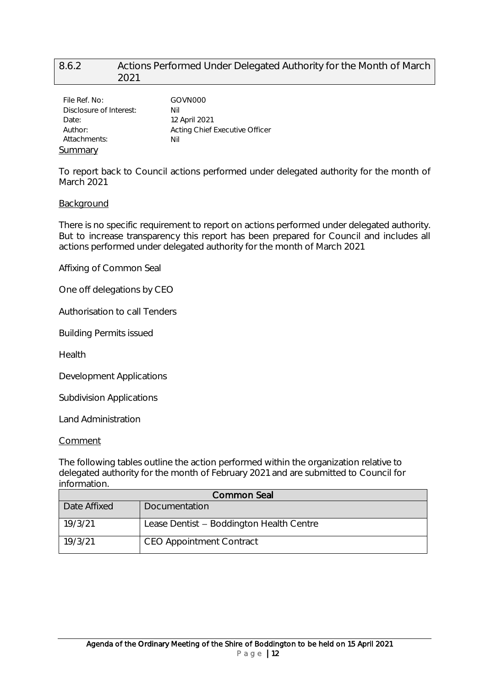#### <span id="page-11-0"></span>8.6.2 Actions Performed Under Delegated Authority for the Month of March 2021

| File Ref. No:           | GOVN000                        |
|-------------------------|--------------------------------|
| Disclosure of Interest: | Nil                            |
| Date:                   | 12 April 2021                  |
| Author:                 | Acting Chief Executive Officer |
| Attachments:            | Nil                            |
| <u>Summary</u>          |                                |

To report back to Council actions performed under delegated authority for the month of March 2021

#### Background

There is no specific requirement to report on actions performed under delegated authority. But to increase transparency this report has been prepared for Council and includes all actions performed under delegated authority for the month of March 2021

Affixing of Common Seal

One off delegations by CEO

Authorisation to call Tenders

Building Permits issued

Health

Development Applications

Subdivision Applications

Land Administration

#### **Comment**

The following tables outline the action performed within the organization relative to delegated authority for the month of February 2021 and are submitted to Council for information.

| Common Seal  |                                          |  |  |
|--------------|------------------------------------------|--|--|
| Date Affixed | Documentation                            |  |  |
| 19/3/21      | Lease Dentist - Boddington Health Centre |  |  |
| 19/3/21      | <b>CEO Appointment Contract</b>          |  |  |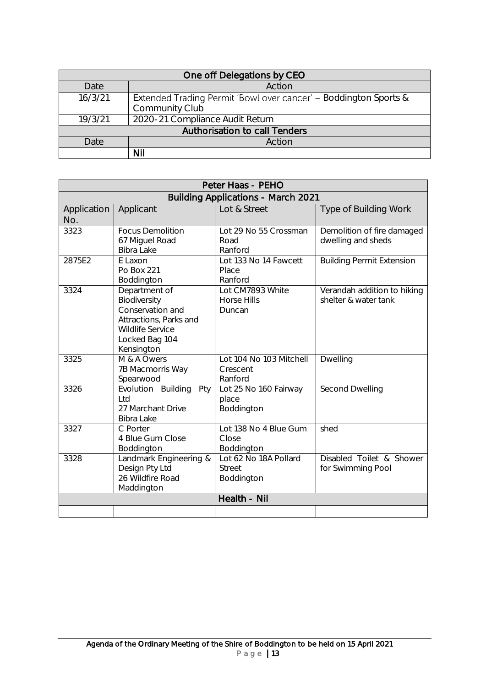| One off Delegations by CEO    |                                                                  |  |  |  |
|-------------------------------|------------------------------------------------------------------|--|--|--|
| Date                          | Action                                                           |  |  |  |
| 16/3/21                       | Extended Trading Permit 'Bowl over cancer' – Boddington Sports & |  |  |  |
|                               | Community Club                                                   |  |  |  |
| 19/3/21                       | 2020-21 Compliance Audit Return                                  |  |  |  |
| Authorisation to call Tenders |                                                                  |  |  |  |
| Date                          | Action                                                           |  |  |  |
|                               | <b>Nil</b>                                                       |  |  |  |

| Peter Haas - PEHO                         |                                                                                                                                        |                                                      |                                                     |  |  |
|-------------------------------------------|----------------------------------------------------------------------------------------------------------------------------------------|------------------------------------------------------|-----------------------------------------------------|--|--|
| <b>Building Applications - March 2021</b> |                                                                                                                                        |                                                      |                                                     |  |  |
| Application<br>No.                        | Applicant                                                                                                                              | Lot & Street                                         | Type of Building Work                               |  |  |
| 3323                                      | <b>Focus Demolition</b><br>67 Miguel Road<br>Bibra Lake                                                                                | Lot 29 No 55 Crossman<br>Road<br>Ranford             | Demolition of fire damaged<br>dwelling and sheds    |  |  |
| 2875E2                                    | E Laxon<br>Po Box 221<br>Boddington                                                                                                    | Lot 133 No 14 Fawcett<br>Place<br>Ranford            | <b>Building Permit Extension</b>                    |  |  |
| 3324                                      | Department of<br>Biodiversity<br>Conservation and<br>Attractions, Parks and<br><b>Wildlife Service</b><br>Locked Bag 104<br>Kensington | Lot CM7893 White<br><b>Horse Hills</b><br>Duncan     | Verandah addition to hiking<br>shelter & water tank |  |  |
| 3325                                      | M & A Owers<br>7B Macmorris Way<br>Spearwood                                                                                           | Lot 104 No 103 Mitchell<br>Crescent<br>Ranford       | Dwelling                                            |  |  |
| 3326                                      | Evolution Building<br>Pty<br>Ltd<br>27 Marchant Drive<br>Bibra Lake                                                                    | Lot 25 No 160 Fairway<br>place<br>Boddington         | Second Dwelling                                     |  |  |
| 3327                                      | C Porter<br>4 Blue Gum Close<br>Boddington                                                                                             | Lot 138 No 4 Blue Gum<br>Close<br>Boddington         | shed                                                |  |  |
| 3328                                      | Landmark Engineering &<br>Design Pty Ltd<br>26 Wildfire Road<br>Maddington                                                             | Lot 62 No 18A Pollard<br><b>Street</b><br>Boddington | Disabled Toilet & Shower<br>for Swimming Pool       |  |  |
|                                           |                                                                                                                                        | Health - Nil                                         |                                                     |  |  |
|                                           |                                                                                                                                        |                                                      |                                                     |  |  |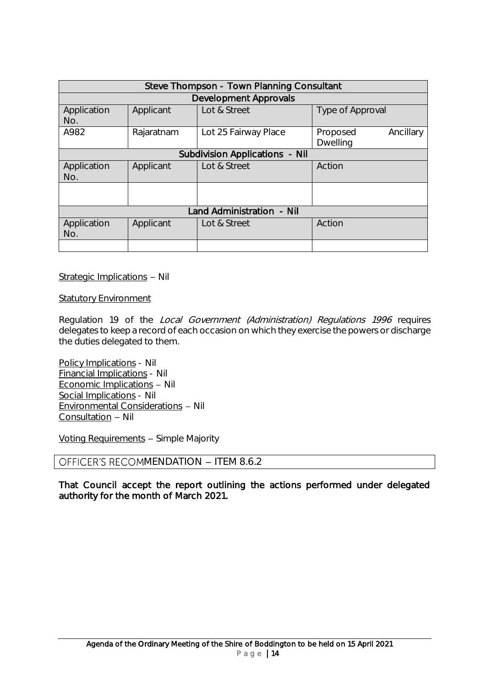| Steve Thompson - Town Planning Consultant |                                |                      |                                          |  |  |  |
|-------------------------------------------|--------------------------------|----------------------|------------------------------------------|--|--|--|
|                                           | <b>Development Approvals</b>   |                      |                                          |  |  |  |
| Application<br>No.                        | Applicant                      | Lot & Street         | Type of Approval                         |  |  |  |
| A982                                      | Rajaratnam                     | Lot 25 Fairway Place | Ancillary<br>Proposed<br><b>Dwelling</b> |  |  |  |
|                                           | Subdivision Applications - Nil |                      |                                          |  |  |  |
| Application<br>No.                        | Applicant                      | Lot & Street         | Action                                   |  |  |  |
|                                           |                                |                      |                                          |  |  |  |
| Land Administration - Nil                 |                                |                      |                                          |  |  |  |
| Application<br>No.                        | Applicant                      | Lot & Street         | Action                                   |  |  |  |
|                                           |                                |                      |                                          |  |  |  |

Strategic Implications - Nil

Statutory Environment

Regulation 19 of the Local Government (Administration) Regulations 1996 requires delegates to keep a record of each occasion on which they exercise the powers or discharge the duties delegated to them.

Policy Implications - Nil Financial Implications - Nil  $E$ conomic Implications - Nil Social Implications - Nil Environmental Considerations - Nil Consultation - Nil

Voting Requirements - Simple Majority

#### OFFICER'S RECOMMENDATION - ITEM 8.6.2

That Council accept the report outlining the actions performed under delegated authority for the month of March 2021.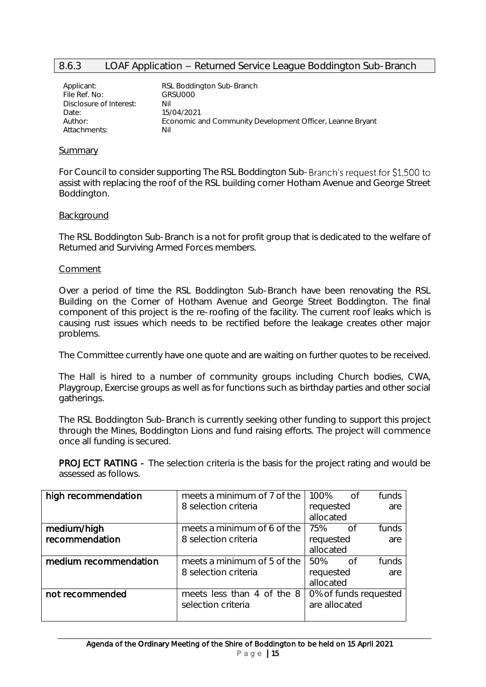#### <span id="page-14-0"></span>8.6.3 LOAF Application - Returned Service League Boddington Sub-Branch

| Applicant:              | RSL Boddington Sub-Branch                                 |
|-------------------------|-----------------------------------------------------------|
| File Ref. No:           | GRSU000                                                   |
| Disclosure of Interest: | Nil                                                       |
| Date:                   | 15/04/2021                                                |
| Author:                 | Economic and Community Development Officer, Leanne Bryant |
| Attachments:            | Nil                                                       |
|                         |                                                           |

#### Summary

For Council to consider supporting The RSL Boddington Sub-Branch's request for \$1,500 to assist with replacing the roof of the RSL building corner Hotham Avenue and George Street Boddington.

#### Background

The RSL Boddington Sub-Branch is a not for profit group that is dedicated to the welfare of Returned and Surviving Armed Forces members.

#### Comment

Over a period of time the RSL Boddington Sub-Branch have been renovating the RSL Building on the Corner of Hotham Avenue and George Street Boddington. The final component of this project is the re-roofing of the facility. The current roof leaks which is causing rust issues which needs to be rectified before the leakage creates other major problems.

The Committee currently have one quote and are waiting on further quotes to be received.

The Hall is hired to a number of community groups including Church bodies, CWA, Playgroup, Exercise groups as well as for functions such as birthday parties and other social gatherings.

The RSL Boddington Sub-Branch is currently seeking other funding to support this project through the Mines, Boddington Lions and fund raising efforts. The project will commence once all funding is secured.

PROJECT RATING - The selection criteria is the basis for the project rating and would be assessed as follows.

| high recommendation   | meets a minimum of 7 of the | 100%                  | of  | funds |
|-----------------------|-----------------------------|-----------------------|-----|-------|
|                       | 8 selection criteria        | requested             |     | are   |
|                       |                             | allocated             |     |       |
| medium/high           | meets a minimum of 6 of the | 75%                   | of  | funds |
| recommendation        | 8 selection criteria        | requested             |     | are   |
|                       |                             | allocated             |     |       |
| medium recommendation | meets a minimum of 5 of the | 50%                   | n f | funds |
|                       | 8 selection criteria        | requested             |     | are   |
|                       |                             | allocated             |     |       |
| not recommended       | meets less than 4 of the 8  | 0% of funds requested |     |       |
|                       | selection criteria          | are allocated         |     |       |
|                       |                             |                       |     |       |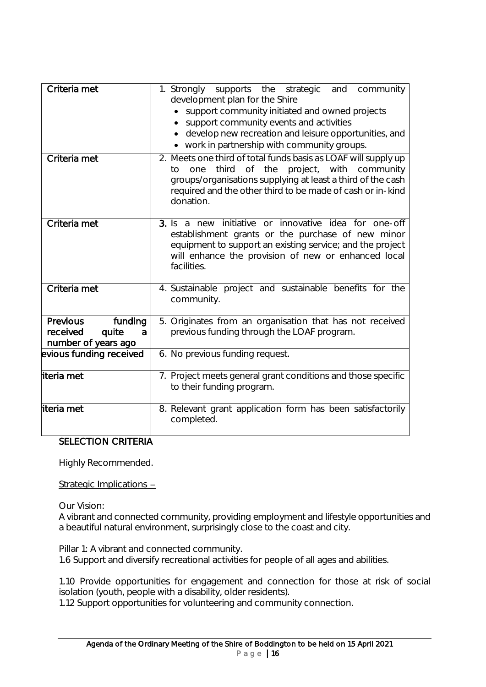| Criteria met                                                         | 1. Strongly supports the strategic and community<br>development plan for the Shire                                                                                                                                                                            |
|----------------------------------------------------------------------|---------------------------------------------------------------------------------------------------------------------------------------------------------------------------------------------------------------------------------------------------------------|
|                                                                      | support community initiated and owned projects<br>support community events and activities                                                                                                                                                                     |
|                                                                      | develop new recreation and leisure opportunities, and                                                                                                                                                                                                         |
|                                                                      | • work in partnership with community groups.                                                                                                                                                                                                                  |
| Criteria met                                                         | 2. Meets one third of total funds basis as LOAF will supply up<br>third of the project, with community<br>one<br>to<br>groups/organisations supplying at least a third of the cash<br>required and the other third to be made of cash or in-kind<br>donation. |
| Criteria met                                                         | 3. Is a new initiative<br>or innovative idea for one-off<br>establishment grants or the purchase of new minor<br>equipment to support an existing service; and the project<br>will enhance the provision of new or enhanced local<br>facilities.              |
| Criteria met                                                         | 4. Sustainable project and sustainable benefits for the<br>community.                                                                                                                                                                                         |
| Previous<br>funding<br>received<br>quite<br>a<br>number of years ago | 5. Originates from an organisation that has not received<br>previous funding through the LOAF program.                                                                                                                                                        |
| evious funding received                                              | 6. No previous funding request.                                                                                                                                                                                                                               |
| iteria met                                                           | 7. Project meets general grant conditions and those specific<br>to their funding program.                                                                                                                                                                     |
| iteria met                                                           | 8. Relevant grant application form has been satisfactorily<br>completed.                                                                                                                                                                                      |

#### SELECTION CRITERIA

Highly Recommended.

Strategic Implications -

Our Vision:

A vibrant and connected community, providing employment and lifestyle opportunities and a beautiful natural environment, surprisingly close to the coast and city.

Pillar 1: A vibrant and connected community. 1.6 Support and diversify recreational activities for people of all ages and abilities.

1.10 Provide opportunities for engagement and connection for those at risk of social isolation (youth, people with a disability, older residents).

1.12 Support opportunities for volunteering and community connection.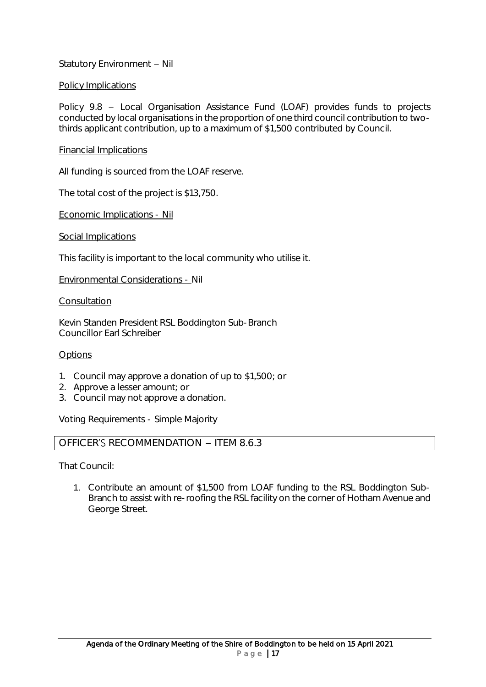#### Statutory Environment - Nil

#### Policy Implications

Policy 9.8 - Local Organisation Assistance Fund (LOAF) provides funds to projects conducted by local organisations in the proportion of one third council contribution to twothirds applicant contribution, up to a maximum of \$1,500 contributed by Council.

#### Financial Implications

All funding is sourced from the LOAF reserve.

The total cost of the project is \$13,750.

Economic Implications - Nil

Social Implications

This facility is important to the local community who utilise it.

Environmental Considerations - Nil

#### **Consultation**

Kevin Standen President RSL Boddington Sub-Branch Councillor Earl Schreiber

#### **Options**

- 1. Council may approve a donation of up to \$1,500; or
- 2. Approve a lesser amount; or
- 3. Council may not approve a donation.

Voting Requirements - Simple Majority

#### OFFICER'S RECOMMENDATION  $-$  ITEM 8.6.3

That Council:

1. Contribute an amount of \$1,500 from LOAF funding to the RSL Boddington Sub-Branch to assist with re-roofing the RSL facility on the corner of Hotham Avenue and George Street.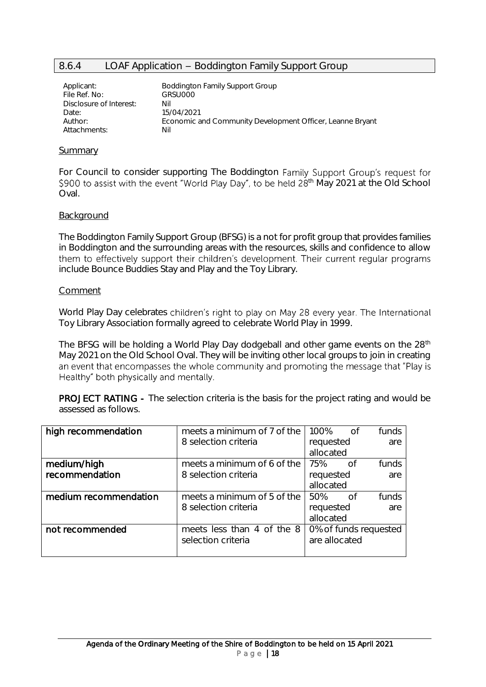#### <span id="page-17-0"></span>8.6.4 LOAF Application - Boddington Family Support Group

| Applicant:<br>File Ref. No: | <b>Boddington Family Support Group</b><br>GRSU000         |
|-----------------------------|-----------------------------------------------------------|
| Disclosure of Interest:     | Nil                                                       |
| Date:                       | 15/04/2021                                                |
| Author:                     | Economic and Community Development Officer, Leanne Bryant |
| Attachments:                | Nil                                                       |

#### Summary

For Council to consider supporting The Boddington Family Support Group's request for \$900 to assist with the event "World Play Day", to be held  $28<sup>th</sup>$  May 2021 at the Old School Oval.

#### **Background**

The Boddington Family Support Group (BFSG) is a not for profit group that provides families in Boddington and the surrounding areas with the resources, skills and confidence to allow them to effectively support their children's development. Their current regular programs include Bounce Buddies Stay and Play and the Toy Library.

#### Comment

World Play Day celebrates children's right to play on May 28 every year. The International Toy Library Association formally agreed to celebrate World Play in 1999.

The BFSG will be holding a World Play Day dodgeball and other game events on the 28<sup>th</sup> May 2021 on the Old School Oval. They will be inviting other local groups to join in creating an event that encompasses the whole community and promoting the message that "Play is Healthy" both physically and mentally.

PROJECT RATING - The selection criteria is the basis for the project rating and would be assessed as follows.

| high recommendation   | meets a minimum of 7 of the | 100%                  | of      | funds |
|-----------------------|-----------------------------|-----------------------|---------|-------|
|                       | 8 selection criteria        | requested             |         | are   |
|                       |                             | allocated             |         |       |
| medium/high           | meets a minimum of 6 of the | 75%                   | $\circ$ | funds |
| recommendation        | 8 selection criteria        | requested             |         | are   |
|                       |                             | allocated             |         |       |
| medium recommendation | meets a minimum of 5 of the | 50%                   | n of    | funds |
|                       | 8 selection criteria        | requested             |         | are   |
|                       |                             | allocated             |         |       |
| not recommended       | meets less than 4 of the 8  | 0% of funds requested |         |       |
|                       | selection criteria          | are allocated         |         |       |
|                       |                             |                       |         |       |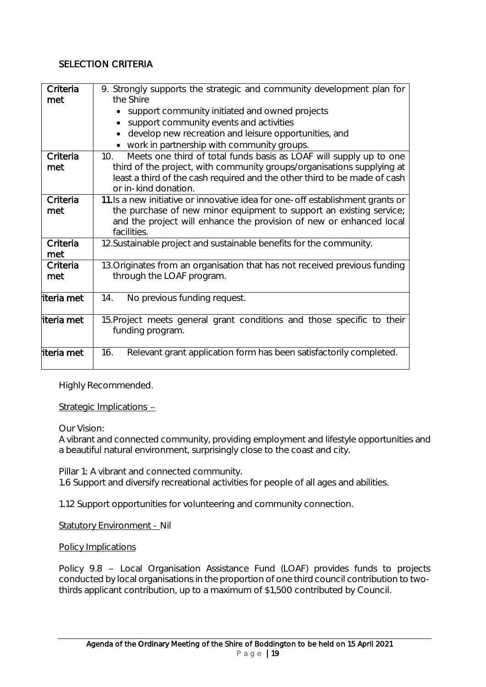#### SELECTION CRITERIA

| Criteria<br>met | 9. Strongly supports the strategic and community development plan for<br>the Shire                |
|-----------------|---------------------------------------------------------------------------------------------------|
|                 | support community initiated and owned projects                                                    |
|                 | support community events and activities                                                           |
|                 | develop new recreation and leisure opportunities, and                                             |
|                 | • work in partnership with community groups.                                                      |
| Criteria        | Meets one third of total funds basis as LOAF will supply up to one<br>10 <sub>1</sub>             |
| met             | third of the project, with community groups/organisations supplying at                            |
|                 | least a third of the cash required and the other third to be made of cash<br>or in-kind donation. |
| Criteria        | 11. Is a new initiative or innovative idea for one-off establishment grants or                    |
| met             | the purchase of new minor equipment to support an existing service;                               |
|                 | and the project will enhance the provision of new or enhanced local<br>facilities.                |
| Criteria<br>met | 12. Sustainable project and sustainable benefits for the community.                               |
| Criteria        | 13. Originates from an organisation that has not received previous funding                        |
| met             | through the LOAF program.                                                                         |
| literia met     | No previous funding request.<br>14.                                                               |
| literia met     | 15. Project meets general grant conditions and those specific to their<br>funding program.        |
| iteria met      | Relevant grant application form has been satisfactorily completed.<br>16.                         |

Highly Recommended.

Strategic Implications -

Our Vision:

A vibrant and connected community, providing employment and lifestyle opportunities and a beautiful natural environment, surprisingly close to the coast and city.

Pillar 1: A vibrant and connected community. 1.6 Support and diversify recreational activities for people of all ages and abilities.

1.12 Support opportunities for volunteering and community connection.

Statutory Environment - Nil

#### Policy Implications

Policy 9.8 - Local Organisation Assistance Fund (LOAF) provides funds to projects conducted by local organisations in the proportion of one third council contribution to twothirds applicant contribution, up to a maximum of \$1,500 contributed by Council.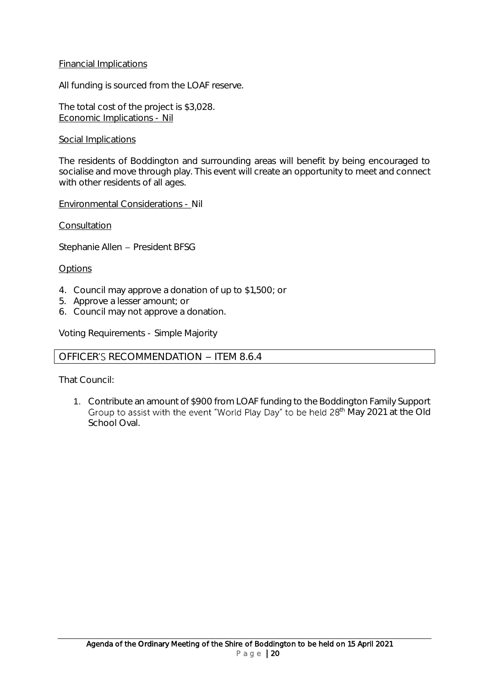#### Financial Implications

All funding is sourced from the LOAF reserve.

The total cost of the project is \$3,028. Economic Implications - Nil

#### Social Implications

The residents of Boddington and surrounding areas will benefit by being encouraged to socialise and move through play. This event will create an opportunity to meet and connect with other residents of all ages.

Environmental Considerations - Nil

Consultation

Stephanie Allen - President BFSG

#### **Options**

- 4. Council may approve a donation of up to \$1,500; or
- 5. Approve a lesser amount; or
- 6. Council may not approve a donation.

Voting Requirements - Simple Majority

#### OFFICER'S RECOMMENDATION - ITEM 8.6.4

That Council:

1. Contribute an amount of \$900 from LOAF funding to the Boddington Family Support Group to assist with the event "World Play Day" to be held 28<sup>th</sup> May 2021 at the Old School Oval.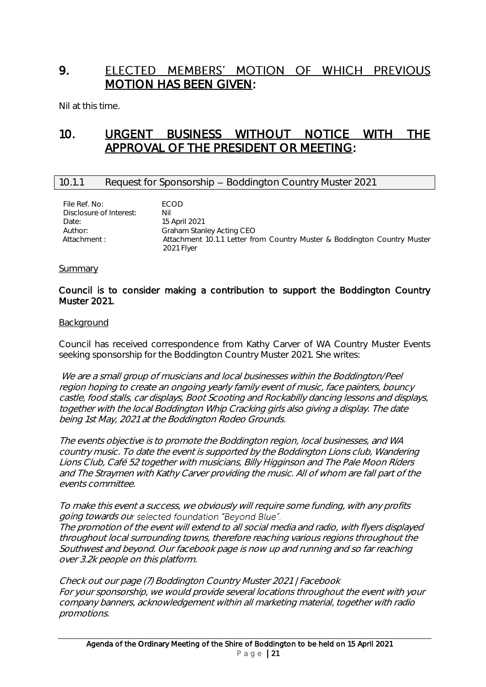## <span id="page-20-0"></span>9. ELECTED MEMBERS' MOTION OF WHICH PREVIOUS MOTION HAS BEEN GIVEN:

Nil at this time.

## <span id="page-20-1"></span>10. URGENT BUSINESS WITHOUT NOTICE WITH THE APPROVAL OF THE PRESIDENT OR MEETING:

#### <span id="page-20-2"></span>10.1.1 Request for Sponsorship - Boddington Country Muster 2021

| File Ref. No:<br>Disclosure of Interest: | <b>FCOD</b><br>Nil                                                                     |
|------------------------------------------|----------------------------------------------------------------------------------------|
|                                          |                                                                                        |
| Date:                                    | 15 April 2021                                                                          |
| Author:                                  | Graham Stanley Acting CEO                                                              |
| Attachment :                             | Attachment 10.1.1 Letter from Country Muster & Boddington Country Muster<br>2021 Flyer |

#### Summary

#### Council is to consider making a contribution to support the Boddington Country Muster 2021.

#### **Background**

Council has received correspondence from Kathy Carver of WA Country Muster Events seeking sponsorship for the Boddington Country Muster 2021. She writes:

We are a small group of musicians and local businesses within the Boddington/Peel region hoping to create an ongoing yearly family event of music, face painters, bouncy castle, food stalls, car displays, Boot Scooting and Rockabilly dancing lessons and displays, together with the local Boddington Whip Cracking girls also giving a display. The date being 1st May, 2021 at the Boddington Rodeo Grounds.

The events objective is to promote the Boddington region, local businesses, and WA country music. To date the event is supported by the Boddington Lions club, Wandering Lions Club, Café 52 together with musicians, Billy Higginson and The Pale Moon Riders and The Straymen with Kathy Carver providing the music. All of whom are fall part of the events committee.

To make this event a success, we obviously will require some funding, with any profits going towards our selected foundation "Beyond Blue".

The promotion of the event will extend to all social media and radio, with flyers displayed throughout local surrounding towns, therefore reaching various regions throughout the Southwest and beyond. Our facebook page is now up and running and so far reaching over 3.2k people on this platform.

Check out our page (7) Boddington Country Muster 2021 | Facebook For your sponsorship, we would provide several locations throughout the event with your company banners, acknowledgement within all marketing material, together with radio promotions.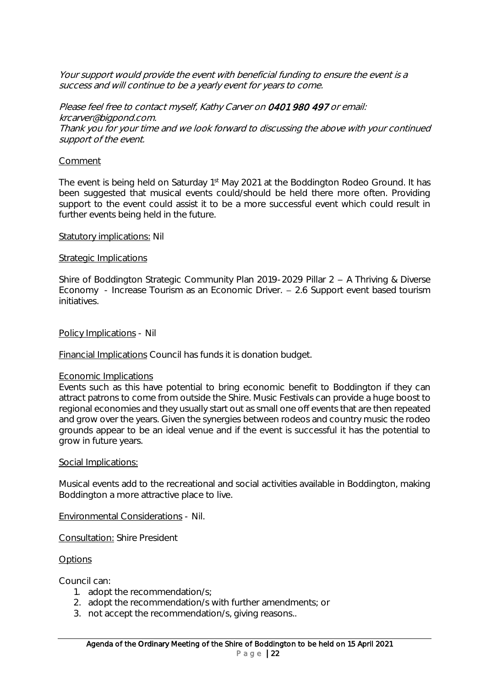Your support would provide the event with beneficial funding to ensure the event is a success and will continue to be a yearly event for years to come.

Please feel free to contact myself, Kathy Carver on 0401 980 497 or email: krcarver@bigpond.com. Thank you for your time and we look forward to discussing the above with your continued support of the event.

#### Comment

The event is being held on Saturday 1<sup>st</sup> May 2021 at the Boddington Rodeo Ground. It has been suggested that musical events could/should be held there more often. Providing support to the event could assist it to be a more successful event which could result in further events being held in the future.

#### Statutory implications: Nil

#### Strategic Implications

Shire of Boddington Strategic Community Plan 2019-2029 Pillar  $2 - A$  Thriving & Diverse Economy - Increase Tourism as an Economic Driver. 2.6 Support event based tourism initiatives.

Policy Implications - Nil

Financial Implications Council has funds it is donation budget.

#### Economic Implications

Events such as this have potential to bring economic benefit to Boddington if they can attract patrons to come from outside the Shire. Music Festivals can provide a huge boost to regional economies and they usually start out as small one off events that are then repeated and grow over the years. Given the synergies between rodeos and country music the rodeo grounds appear to be an ideal venue and if the event is successful it has the potential to grow in future years.

#### Social Implications:

Musical events add to the recreational and social activities available in Boddington, making Boddington a more attractive place to live.

Environmental Considerations - Nil.

Consultation: Shire President

#### **Options**

Council can:

- 1. adopt the recommendation/s;
- 2. adopt the recommendation/s with further amendments; or
- 3. not accept the recommendation/s, giving reasons..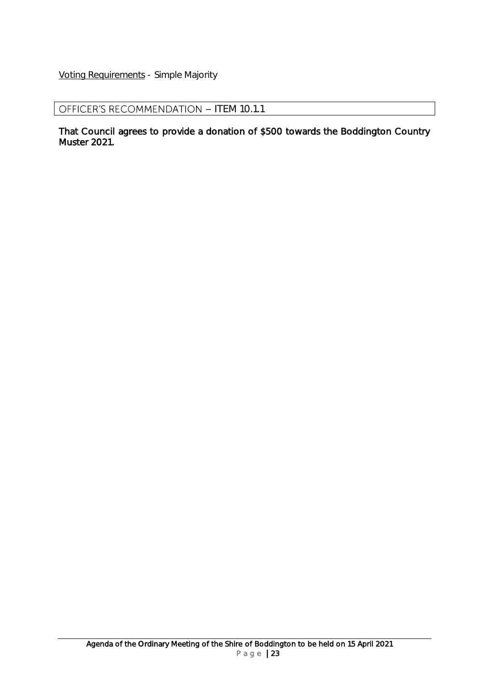Voting Requirements - Simple Majority

OFFICER'S RECOMMENDATION - ITEM 10.1.1

That Council agrees to provide a donation of \$500 towards the Boddington Country Muster 2021.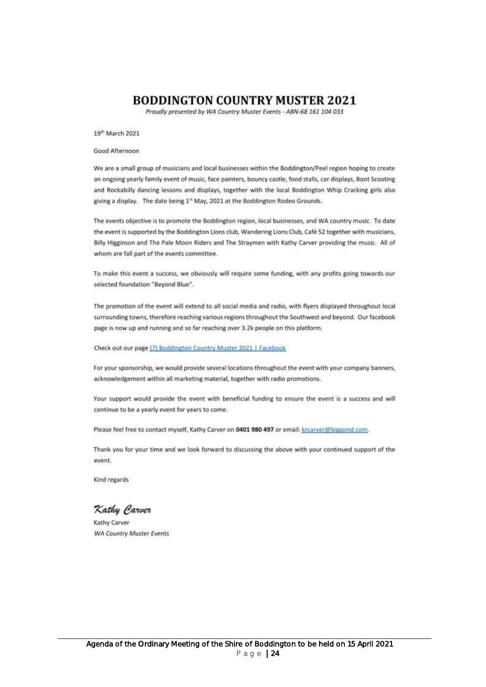#### **BODDINGTON COUNTRY MUSTER 2021**

Proudly presented by WA Country Muster Events - ABN-68 161 104 033

19<sup>th</sup> March 2021

Good Afternoon

We are a small group of musicians and local businesses within the Boddington/Peel region hoping to create an ongoing yearly family event of music, face painters, bouncy castle, food stalls, car displays, Boot Scooting and Rockabilly dancing lessons and displays, together with the local Boddington Whip Cracking girls also giving a display. The date being 1st May, 2021 at the Boddington Rodeo Grounds.

The events objective is to promote the Boddington region, local businesses, and WA country music. To date the event is supported by the Boddington Lions club, Wandering Lions Club, Café 52 together with musicians, Billy Higginson and The Pale Moon Riders and The Straymen with Kathy Carver providing the music. All of whom are fall part of the events committee.

To make this event a success, we obviously will require some funding, with any profits going towards our selected foundation "Bevond Blue".

The promotion of the event will extend to all social media and radio, with flyers displayed throughout local surrounding towns, therefore reaching various regions throughout the Southwest and beyond. Our facebook page is now up and running and so far reaching over 3.2k people on this platform.

Check out our page [7] Boddington Country Muster 2021 | Facebook

For your sponsorship, we would provide several locations throughout the event with your company banners, acknowledgement within all marketing material, together with radio promotions.

Your support would provide the event with beneficial funding to ensure the event is a success and will continue to be a yearly event for years to come.

Please feel free to contact myself, Kathy Carver on 0401 980 497 or email: krcarver@bigpond.com.

Thank you for your time and we look forward to discussing the above with your continued support of the event.

Kind regards

Kathy Carver

Kathy Carver **WA Country Muster Events**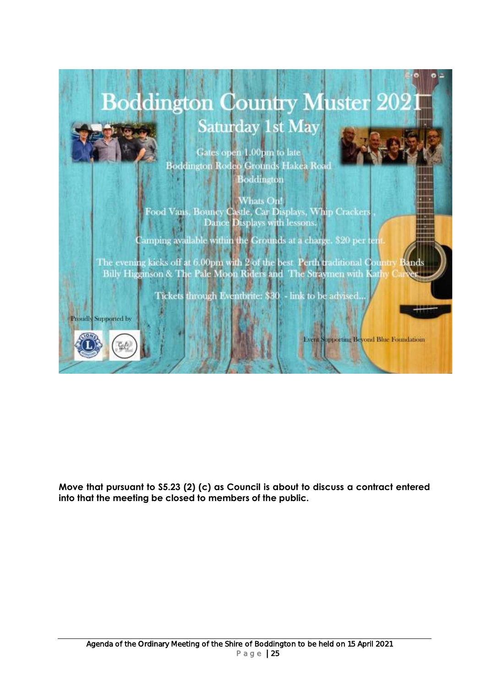

**Move that pursuant to S5.23 (2) (c) as Council is about to discuss a contract entered into that the meeting be closed to members of the public.**